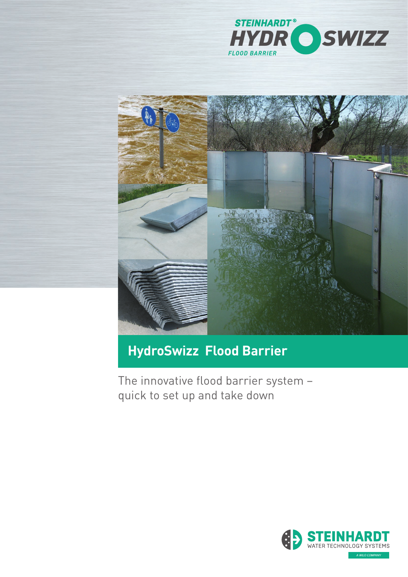



# **HydroSwizz Flood Barrier**

The innovative flood barrier system – quick to set up and take down